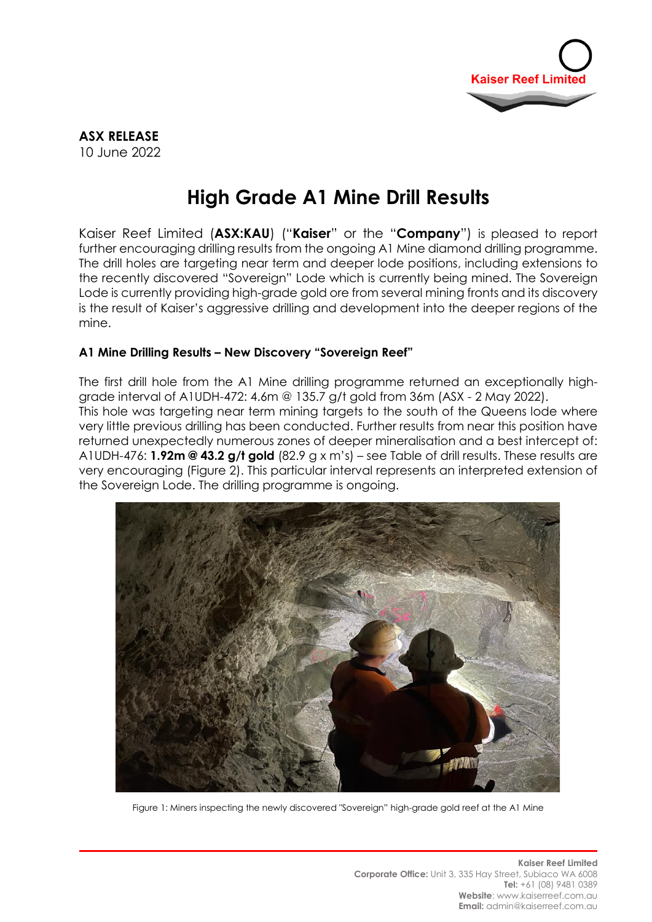

# **High Grade A1 Mine Drill Results**

Kaiser Reef Limited (**ASX:KAU**) ("**Kaiser**" or the "**Company**") is pleased to report further encouraging drilling results from the ongoing A1 Mine diamond drilling programme. The drill holes are targeting near term and deeper lode positions, including extensions to the recently discovered "Sovereign" Lode which is currently being mined. The Sovereign Lode is currently providing high-grade gold ore from several mining fronts and its discovery is the result of Kaiser's aggressive drilling and development into the deeper regions of the mine.

### **A1 Mine Drilling Results – New Discovery "Sovereign Reef"**

The first drill hole from the A1 Mine drilling programme returned an exceptionally highgrade interval of A1UDH-472: 4.6m @ 135.7 g/t gold from 36m (ASX - 2 May 2022). This hole was targeting near term mining targets to the south of the Queens lode where very little previous drilling has been conducted. Further results from near this position have returned unexpectedly numerous zones of deeper mineralisation and a best intercept of: A1UDH-476: **1.92m @ 43.2 g/t gold** (82.9 g x m's) – see Table of drill results. These results are very encouraging (Figure 2). This particular interval represents an interpreted extension of the Sovereign Lode. The drilling programme is ongoing.



Figure 1: Miners inspecting the newly discovered "Sovereign" high-grade gold reef at the A1 Mine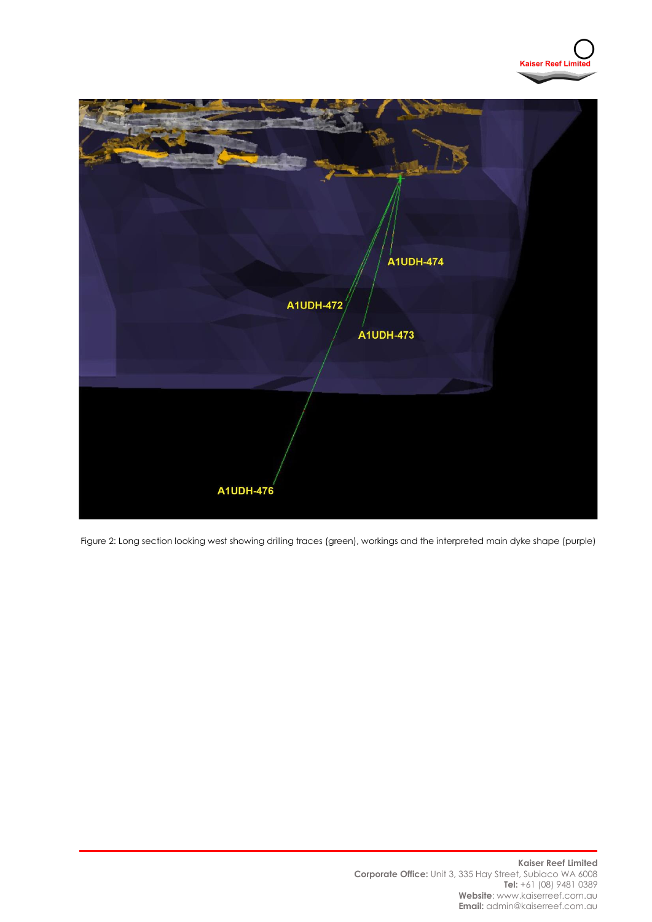



Figure 2: Long section looking west showing drilling traces (green), workings and the interpreted main dyke shape (purple)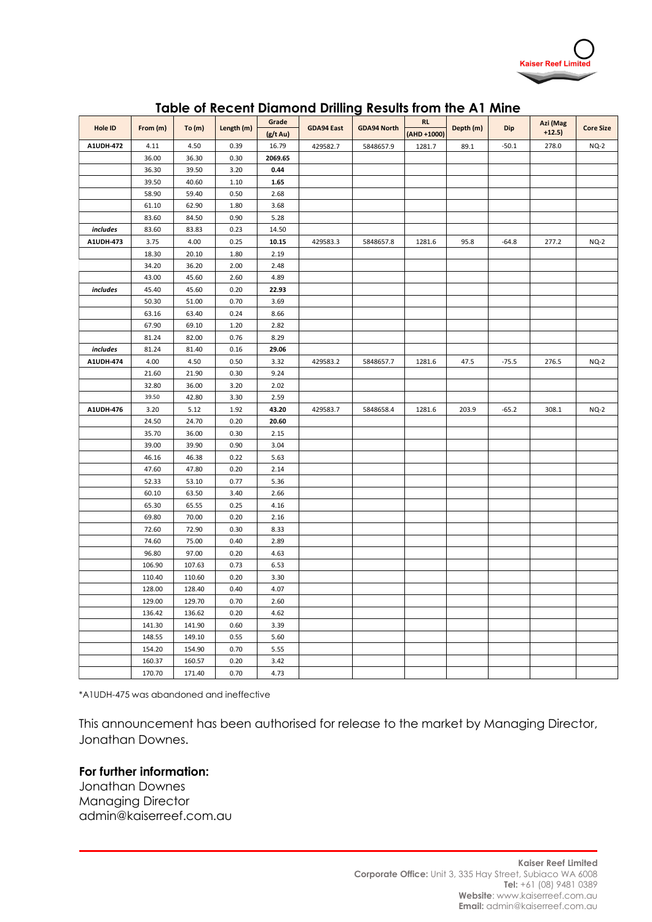

|                |          |                |              |              |                   | Table of Recent Diamond Drilling Results from the A1 Mine |             |           |         |                      |                  |
|----------------|----------|----------------|--------------|--------------|-------------------|-----------------------------------------------------------|-------------|-----------|---------|----------------------|------------------|
| <b>Hole ID</b> | From (m) | To(m)          | Length (m)   | Grade        | <b>GDA94 East</b> | <b>GDA94 North</b>                                        | <b>RL</b>   | Depth (m) | Dip     | Azi (Mag<br>$+12.5)$ | <b>Core Size</b> |
|                |          |                |              | (g/t Au)     |                   |                                                           | (AHD +1000) |           |         |                      |                  |
| A1UDH-472      | 4.11     | 4.50           | 0.39         | 16.79        | 429582.7          | 5848657.9                                                 | 1281.7      | 89.1      | $-50.1$ | 278.0                | $NQ-2$           |
|                | 36.00    | 36.30          | 0.30         | 2069.65      |                   |                                                           |             |           |         |                      |                  |
|                | 36.30    | 39.50<br>40.60 | 3.20<br>1.10 | 0.44<br>1.65 |                   |                                                           |             |           |         |                      |                  |
|                | 39.50    |                |              | 2.68         |                   |                                                           |             |           |         |                      |                  |
|                | 58.90    | 59.40          | 0.50         |              |                   |                                                           |             |           |         |                      |                  |
|                | 61.10    | 62.90          | 1.80         | 3.68         |                   |                                                           |             |           |         |                      |                  |
|                | 83.60    | 84.50          | 0.90         | 5.28         |                   |                                                           |             |           |         |                      |                  |
| includes       | 83.60    | 83.83          | 0.23         | 14.50        |                   |                                                           |             |           |         |                      |                  |
| A1UDH-473      | 3.75     | 4.00           | 0.25         | 10.15        | 429583.3          | 5848657.8                                                 | 1281.6      | 95.8      | $-64.8$ | 277.2                | $NQ-2$           |
|                | 18.30    | 20.10          | 1.80         | 2.19         |                   |                                                           |             |           |         |                      |                  |
|                | 34.20    | 36.20          | 2.00         | 2.48         |                   |                                                           |             |           |         |                      |                  |
|                | 43.00    | 45.60          | 2.60         | 4.89         |                   |                                                           |             |           |         |                      |                  |
| includes       | 45.40    | 45.60          | 0.20         | 22.93        |                   |                                                           |             |           |         |                      |                  |
|                | 50.30    | 51.00          | 0.70         | 3.69         |                   |                                                           |             |           |         |                      |                  |
|                | 63.16    | 63.40          | 0.24         | 8.66         |                   |                                                           |             |           |         |                      |                  |
|                | 67.90    | 69.10          | 1.20         | 2.82         |                   |                                                           |             |           |         |                      |                  |
|                | 81.24    | 82.00          | 0.76         | 8.29         |                   |                                                           |             |           |         |                      |                  |
| includes       | 81.24    | 81.40          | 0.16         | 29.06        |                   |                                                           |             |           |         |                      |                  |
| A1UDH-474      | 4.00     | 4.50           | 0.50         | 3.32         | 429583.2          | 5848657.7                                                 | 1281.6      | 47.5      | $-75.5$ | 276.5                | $NQ-2$           |
|                | 21.60    | 21.90          | 0.30         | 9.24         |                   |                                                           |             |           |         |                      |                  |
|                | 32.80    | 36.00          | 3.20         | 2.02         |                   |                                                           |             |           |         |                      |                  |
|                | 39.50    | 42.80          | 3.30         | 2.59         |                   |                                                           |             |           |         |                      |                  |
| A1UDH-476      | 3.20     | 5.12           | 1.92         | 43.20        | 429583.7          | 5848658.4                                                 | 1281.6      | 203.9     | $-65.2$ | 308.1                | $NQ-2$           |
|                | 24.50    | 24.70          | 0.20         | 20.60        |                   |                                                           |             |           |         |                      |                  |
|                | 35.70    | 36.00          | 0.30         | 2.15         |                   |                                                           |             |           |         |                      |                  |
|                | 39.00    | 39.90          | 0.90         | 3.04         |                   |                                                           |             |           |         |                      |                  |
|                | 46.16    | 46.38          | 0.22         | 5.63         |                   |                                                           |             |           |         |                      |                  |
|                | 47.60    | 47.80          | 0.20         | 2.14         |                   |                                                           |             |           |         |                      |                  |
|                | 52.33    | 53.10          | 0.77         | 5.36         |                   |                                                           |             |           |         |                      |                  |
|                | 60.10    | 63.50          | 3.40         | 2.66         |                   |                                                           |             |           |         |                      |                  |
|                | 65.30    | 65.55          | 0.25         | 4.16         |                   |                                                           |             |           |         |                      |                  |
|                | 69.80    | 70.00          | 0.20         | 2.16         |                   |                                                           |             |           |         |                      |                  |
|                | 72.60    | 72.90          | 0.30         | 8.33         |                   |                                                           |             |           |         |                      |                  |
|                | 74.60    | 75.00          | 0.40         | 2.89         |                   |                                                           |             |           |         |                      |                  |
|                | 96.80    | 97.00          | 0.20         | 4.63         |                   |                                                           |             |           |         |                      |                  |
|                | 106.90   | 107.63         | 0.73         | 6.53         |                   |                                                           |             |           |         |                      |                  |
|                | 110.40   | 110.60         | 0.20         | 3.30         |                   |                                                           |             |           |         |                      |                  |
|                | 128.00   | 128.40         | 0.40         | 4.07         |                   |                                                           |             |           |         |                      |                  |
|                | 129.00   | 129.70         | 0.70         | 2.60         |                   |                                                           |             |           |         |                      |                  |
|                | 136.42   | 136.62         | 0.20         | 4.62         |                   |                                                           |             |           |         |                      |                  |
|                | 141.30   | 141.90         | 0.60         | 3.39         |                   |                                                           |             |           |         |                      |                  |
|                | 148.55   | 149.10         | 0.55         | 5.60         |                   |                                                           |             |           |         |                      |                  |
|                | 154.20   | 154.90         | 0.70         | 5.55         |                   |                                                           |             |           |         |                      |                  |
|                | 160.37   | 160.57         | 0.20         | 3.42         |                   |                                                           |             |           |         |                      |                  |
|                | 170.70   | 171.40         | 0.70         | 4.73         |                   |                                                           |             |           |         |                      |                  |

### **Table of Recent Diamond Drilling Results from the A1 Mine**

\*A1UDH-475 was abandoned and ineffective

This announcement has been authorised for release to the market by Managing Director, Jonathan Downes.

#### **For further information:**

Jonathan Downes Managing Director admin@kaiserreef.com.au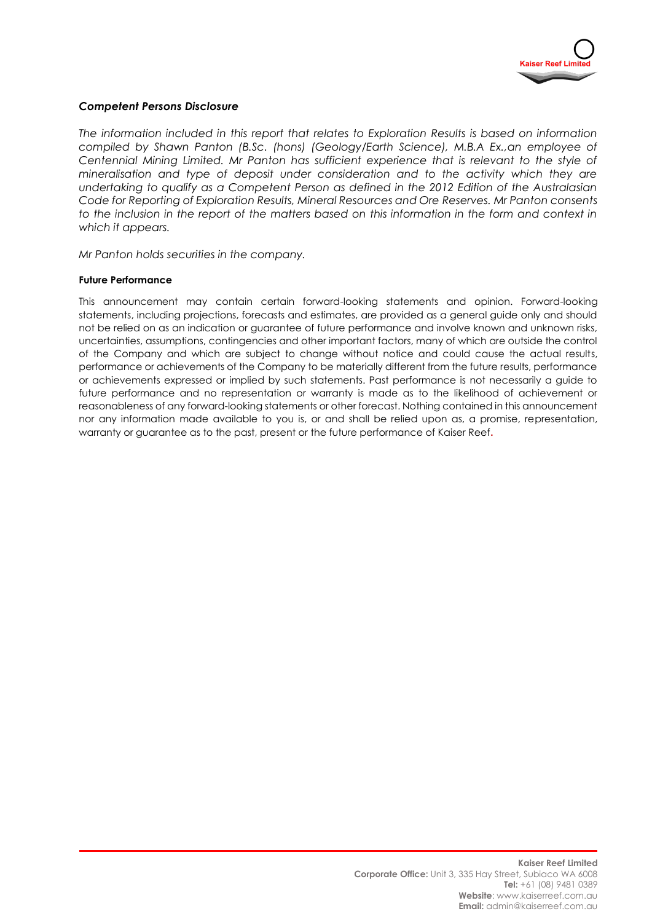

#### *Competent Persons Disclosure*

*The information included in this report that relates to Exploration Results is based on information compiled by Shawn Panton (B.Sc. (hons) (Geology/Earth Science), M.B.A Ex.,an employee of Centennial Mining Limited. Mr Panton has sufficient experience that is relevant to the style of mineralisation and type of deposit under consideration and to the activity which they are undertaking to qualify as a Competent Person as defined in the 2012 Edition of the Australasian Code for Reporting of Exploration Results, Mineral Resources and Ore Reserves. Mr Panton consents to the inclusion in the report of the matters based on this information in the form and context in which it appears.*

*Mr Panton holds securities in the company.* 

#### **Future Performance**

This announcement may contain certain forward-looking statements and opinion. Forward-looking statements, including projections, forecasts and estimates, are provided as a general guide only and should not be relied on as an indication or guarantee of future performance and involve known and unknown risks, uncertainties, assumptions, contingencies and other important factors, many of which are outside the control of the Company and which are subject to change without notice and could cause the actual results, performance or achievements of the Company to be materially different from the future results, performance or achievements expressed or implied by such statements. Past performance is not necessarily a guide to future performance and no representation or warranty is made as to the likelihood of achievement or reasonableness of any forward-looking statements or other forecast. Nothing contained in this announcement nor any information made available to you is, or and shall be relied upon as, a promise, representation, warranty or guarantee as to the past, present or the future performance of Kaiser Reef**.**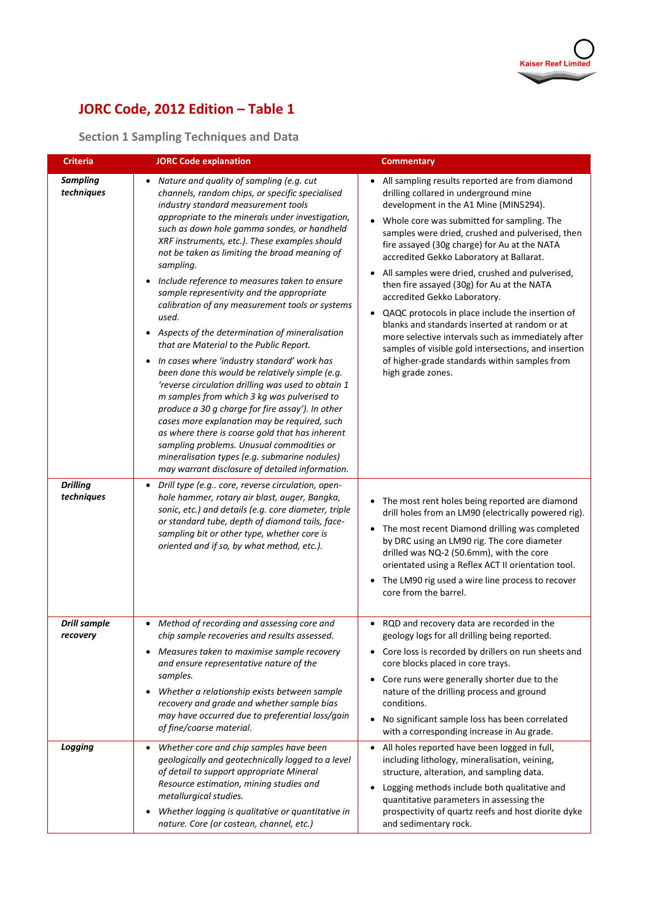

# **JORC Code, 2012 Edition – Table 1**

## **Section 1 Sampling Techniques and Data**

| <b>Criteria</b>                                                | <b>JORC Code explanation</b>                                                                                                                                                                                                                                                                                                                                                                                                                                                                                                                                                                                                                                                                                                                                                                                                                                                                                                                                                                                                                                                                                                                                                                                                                                                                                                                                                                                                                         | <b>Commentary</b>                                                                                                                                                                                                                                                                                                                                                                                                                                                                                                                                                                                                                                                                                                                                                                                                                                                                                                                                                                                          |
|----------------------------------------------------------------|------------------------------------------------------------------------------------------------------------------------------------------------------------------------------------------------------------------------------------------------------------------------------------------------------------------------------------------------------------------------------------------------------------------------------------------------------------------------------------------------------------------------------------------------------------------------------------------------------------------------------------------------------------------------------------------------------------------------------------------------------------------------------------------------------------------------------------------------------------------------------------------------------------------------------------------------------------------------------------------------------------------------------------------------------------------------------------------------------------------------------------------------------------------------------------------------------------------------------------------------------------------------------------------------------------------------------------------------------------------------------------------------------------------------------------------------------|------------------------------------------------------------------------------------------------------------------------------------------------------------------------------------------------------------------------------------------------------------------------------------------------------------------------------------------------------------------------------------------------------------------------------------------------------------------------------------------------------------------------------------------------------------------------------------------------------------------------------------------------------------------------------------------------------------------------------------------------------------------------------------------------------------------------------------------------------------------------------------------------------------------------------------------------------------------------------------------------------------|
| <b>Sampling</b><br>techniques<br><b>Drilling</b><br>techniques | Nature and quality of sampling (e.g. cut<br>channels, random chips, or specific specialised<br>industry standard measurement tools<br>appropriate to the minerals under investigation,<br>such as down hole gamma sondes, or handheld<br>XRF instruments, etc.). These examples should<br>not be taken as limiting the broad meaning of<br>sampling.<br>Include reference to measures taken to ensure<br>sample representivity and the appropriate<br>calibration of any measurement tools or systems<br>used.<br>Aspects of the determination of mineralisation<br>$\bullet$<br>that are Material to the Public Report.<br>In cases where 'industry standard' work has<br>been done this would be relatively simple (e.g.<br>'reverse circulation drilling was used to obtain 1<br>m samples from which 3 kg was pulverised to<br>produce a 30 g charge for fire assay'). In other<br>cases more explanation may be required, such<br>as where there is coarse gold that has inherent<br>sampling problems. Unusual commodities or<br>mineralisation types (e.g. submarine nodules)<br>may warrant disclosure of detailed information.<br>Drill type (e.g core, reverse circulation, open-<br>hole hammer, rotary air blast, auger, Bangka,<br>sonic, etc.) and details (e.g. core diameter, triple<br>or standard tube, depth of diamond tails, face-<br>sampling bit or other type, whether core is<br>oriented and if so, by what method, etc.). | All sampling results reported are from diamond<br>drilling collared in underground mine<br>development in the A1 Mine (MIN5294).<br>Whole core was submitted for sampling. The<br>$\bullet$<br>samples were dried, crushed and pulverised, then<br>fire assayed (30g charge) for Au at the NATA<br>accredited Gekko Laboratory at Ballarat.<br>All samples were dried, crushed and pulverised,<br>then fire assayed (30g) for Au at the NATA<br>accredited Gekko Laboratory.<br>QAQC protocols in place include the insertion of<br>$\bullet$<br>blanks and standards inserted at random or at<br>more selective intervals such as immediately after<br>samples of visible gold intersections, and insertion<br>of higher-grade standards within samples from<br>high grade zones.<br>The most rent holes being reported are diamond<br>drill holes from an LM90 (electrically powered rig).<br>The most recent Diamond drilling was completed<br>$\bullet$<br>by DRC using an LM90 rig. The core diameter |
|                                                                |                                                                                                                                                                                                                                                                                                                                                                                                                                                                                                                                                                                                                                                                                                                                                                                                                                                                                                                                                                                                                                                                                                                                                                                                                                                                                                                                                                                                                                                      | drilled was NQ-2 (50.6mm), with the core<br>orientated using a Reflex ACT II orientation tool.<br>The LM90 rig used a wire line process to recover<br>$\bullet$<br>core from the barrel.                                                                                                                                                                                                                                                                                                                                                                                                                                                                                                                                                                                                                                                                                                                                                                                                                   |
| <b>Drill sample</b><br>recovery                                | Method of recording and assessing core and<br>chip sample recoveries and results assessed.<br>Measures taken to maximise sample recovery<br>and ensure representative nature of the<br>samples.<br>Whether a relationship exists between sample<br>recovery and grade and whether sample bias<br>may have occurred due to preferential loss/gain<br>of fine/coarse material.                                                                                                                                                                                                                                                                                                                                                                                                                                                                                                                                                                                                                                                                                                                                                                                                                                                                                                                                                                                                                                                                         | RQD and recovery data are recorded in the<br>geology logs for all drilling being reported.<br>• Core loss is recorded by drillers on run sheets and<br>core blocks placed in core trays.<br>Core runs were generally shorter due to the<br>$\bullet$<br>nature of the drilling process and ground<br>conditions.<br>No significant sample loss has been correlated<br>$\bullet$<br>with a corresponding increase in Au grade.                                                                                                                                                                                                                                                                                                                                                                                                                                                                                                                                                                              |
| Logging                                                        | Whether core and chip samples have been<br>geologically and geotechnically logged to a level<br>of detail to support appropriate Mineral<br>Resource estimation, mining studies and<br>metallurgical studies.<br>Whether logging is qualitative or quantitative in<br>$\bullet$<br>nature. Core (or costean, channel, etc.)                                                                                                                                                                                                                                                                                                                                                                                                                                                                                                                                                                                                                                                                                                                                                                                                                                                                                                                                                                                                                                                                                                                          | All holes reported have been logged in full,<br>$\bullet$<br>including lithology, mineralisation, veining,<br>structure, alteration, and sampling data.<br>Logging methods include both qualitative and<br>quantitative parameters in assessing the<br>prospectivity of quartz reefs and host diorite dyke<br>and sedimentary rock.                                                                                                                                                                                                                                                                                                                                                                                                                                                                                                                                                                                                                                                                        |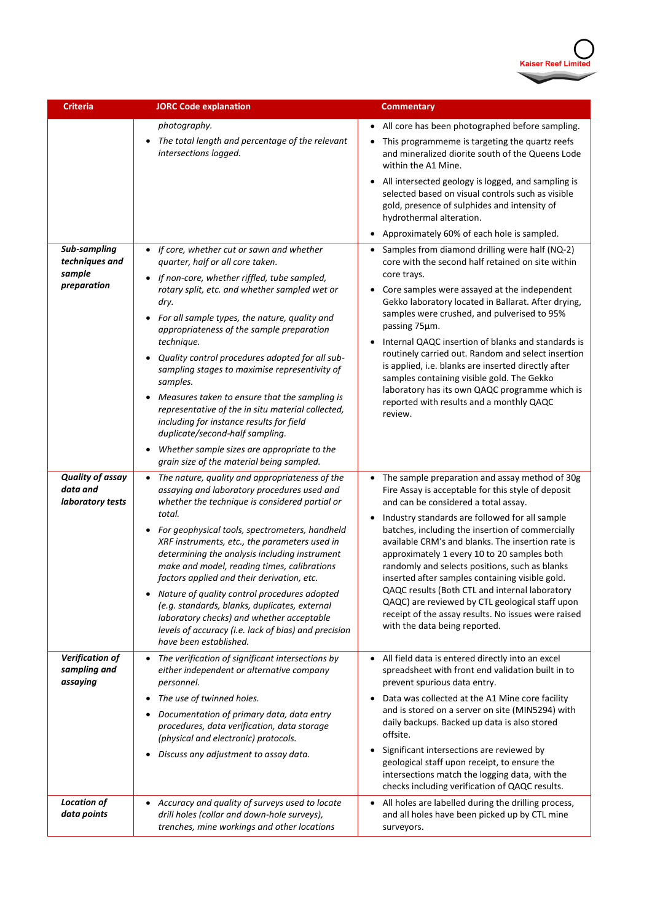

| <b>Criteria</b>                                         | <b>JORC Code explanation</b>                                                                                                                                                                                                                                                                                    | <b>Commentary</b>                                                                                                                                                                                                                                                                                                                                                                                                             |
|---------------------------------------------------------|-----------------------------------------------------------------------------------------------------------------------------------------------------------------------------------------------------------------------------------------------------------------------------------------------------------------|-------------------------------------------------------------------------------------------------------------------------------------------------------------------------------------------------------------------------------------------------------------------------------------------------------------------------------------------------------------------------------------------------------------------------------|
|                                                         | photography.                                                                                                                                                                                                                                                                                                    | All core has been photographed before sampling.                                                                                                                                                                                                                                                                                                                                                                               |
|                                                         | The total length and percentage of the relevant<br>$\bullet$<br>intersections logged.                                                                                                                                                                                                                           | This programmeme is targeting the quartz reefs<br>and mineralized diorite south of the Queens Lode<br>within the A1 Mine.                                                                                                                                                                                                                                                                                                     |
|                                                         |                                                                                                                                                                                                                                                                                                                 | • All intersected geology is logged, and sampling is<br>selected based on visual controls such as visible<br>gold, presence of sulphides and intensity of<br>hydrothermal alteration.                                                                                                                                                                                                                                         |
|                                                         |                                                                                                                                                                                                                                                                                                                 | Approximately 60% of each hole is sampled.<br>$\bullet$                                                                                                                                                                                                                                                                                                                                                                       |
| Sub-sampling<br>techniques and                          | If core, whether cut or sawn and whether<br>$\bullet$<br>quarter, half or all core taken.                                                                                                                                                                                                                       | Samples from diamond drilling were half (NQ-2)<br>$\bullet$<br>core with the second half retained on site within                                                                                                                                                                                                                                                                                                              |
| sample<br>preparation                                   | If non-core, whether riffled, tube sampled,<br>rotary split, etc. and whether sampled wet or<br>dry.                                                                                                                                                                                                            | core trays.<br>Core samples were assayed at the independent<br>$\bullet$<br>Gekko laboratory located in Ballarat. After drying,                                                                                                                                                                                                                                                                                               |
|                                                         | For all sample types, the nature, quality and<br>appropriateness of the sample preparation                                                                                                                                                                                                                      | samples were crushed, and pulverised to 95%<br>passing 75um.                                                                                                                                                                                                                                                                                                                                                                  |
|                                                         | technique.<br>Quality control procedures adopted for all sub-<br>sampling stages to maximise representivity of<br>samples.<br>Measures taken to ensure that the sampling is<br>representative of the in situ material collected,<br>including for instance results for field<br>duplicate/second-half sampling. | Internal QAQC insertion of blanks and standards is<br>routinely carried out. Random and select insertion<br>is applied, i.e. blanks are inserted directly after<br>samples containing visible gold. The Gekko                                                                                                                                                                                                                 |
|                                                         |                                                                                                                                                                                                                                                                                                                 | laboratory has its own QAQC programme which is<br>reported with results and a monthly QAQC<br>review.                                                                                                                                                                                                                                                                                                                         |
|                                                         | Whether sample sizes are appropriate to the<br>$\bullet$<br>grain size of the material being sampled.                                                                                                                                                                                                           |                                                                                                                                                                                                                                                                                                                                                                                                                               |
| <b>Quality of assay</b><br>data and<br>laboratory tests | The nature, quality and appropriateness of the<br>$\bullet$<br>assaying and laboratory procedures used and<br>whether the technique is considered partial or                                                                                                                                                    | • The sample preparation and assay method of 30g<br>Fire Assay is acceptable for this style of deposit<br>and can be considered a total assay.                                                                                                                                                                                                                                                                                |
|                                                         | total.<br>For geophysical tools, spectrometers, handheld<br>XRF instruments, etc., the parameters used in<br>determining the analysis including instrument<br>make and model, reading times, calibrations<br>factors applied and their derivation, etc.<br>Nature of quality control procedures adopted         | Industry standards are followed for all sample<br>$\bullet$<br>batches, including the insertion of commercially<br>available CRM's and blanks. The insertion rate is<br>approximately 1 every 10 to 20 samples both<br>randomly and selects positions, such as blanks<br>inserted after samples containing visible gold.<br>QAQC results (Both CTL and internal laboratory<br>QAQC) are reviewed by CTL geological staff upon |
|                                                         | (e.g. standards, blanks, duplicates, external<br>laboratory checks) and whether acceptable<br>levels of accuracy (i.e. lack of bias) and precision<br>have been established.                                                                                                                                    | receipt of the assay results. No issues were raised<br>with the data being reported.                                                                                                                                                                                                                                                                                                                                          |
| Verification of<br>sampling and<br>assaying             | The verification of significant intersections by<br>$\bullet$<br>either independent or alternative company<br>personnel.                                                                                                                                                                                        | All field data is entered directly into an excel<br>$\bullet$<br>spreadsheet with front end validation built in to<br>prevent spurious data entry.                                                                                                                                                                                                                                                                            |
|                                                         | The use of twinned holes.<br>Documentation of primary data, data entry<br>procedures, data verification, data storage<br>(physical and electronic) protocols.                                                                                                                                                   | Data was collected at the A1 Mine core facility<br>$\bullet$<br>and is stored on a server on site (MIN5294) with<br>daily backups. Backed up data is also stored<br>offsite.                                                                                                                                                                                                                                                  |
|                                                         | Discuss any adjustment to assay data.                                                                                                                                                                                                                                                                           | Significant intersections are reviewed by<br>geological staff upon receipt, to ensure the<br>intersections match the logging data, with the<br>checks including verification of QAQC results.                                                                                                                                                                                                                                 |
| <b>Location of</b><br>data points                       | Accuracy and quality of surveys used to locate<br>$\bullet$<br>drill holes (collar and down-hole surveys),<br>trenches, mine workings and other locations                                                                                                                                                       | All holes are labelled during the drilling process,<br>$\bullet$<br>and all holes have been picked up by CTL mine<br>surveyors.                                                                                                                                                                                                                                                                                               |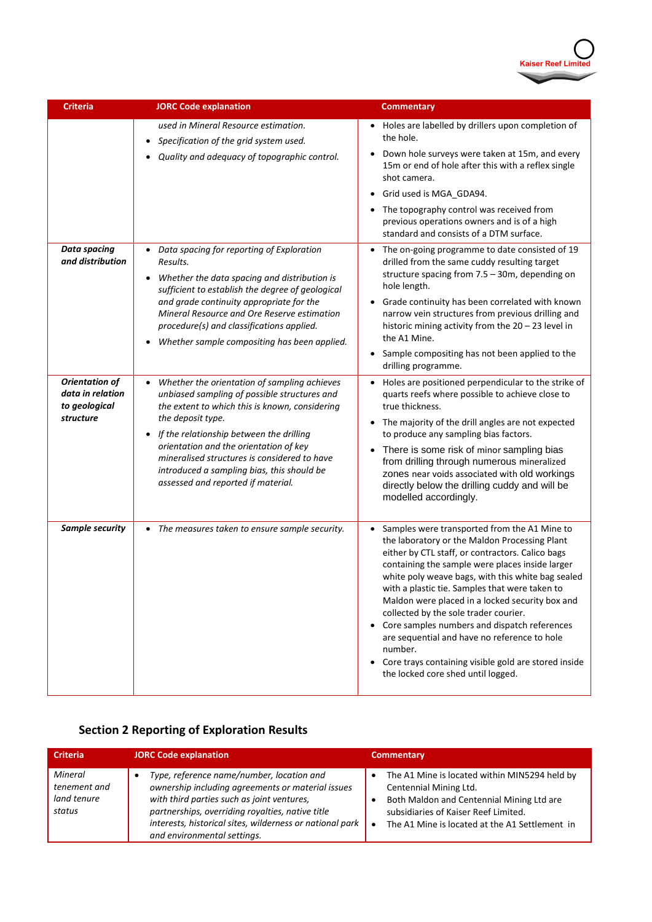

| <b>Criteria</b>                                                                                                    | <b>JORC Code explanation</b>                                                                                                                                                                                                                                                                                                                                                                                                                                                                                                          | <b>Commentary</b>                                                                                                                                                                                                                                                                                                                                                                                                                                                                                                                                                                                                           |
|--------------------------------------------------------------------------------------------------------------------|---------------------------------------------------------------------------------------------------------------------------------------------------------------------------------------------------------------------------------------------------------------------------------------------------------------------------------------------------------------------------------------------------------------------------------------------------------------------------------------------------------------------------------------|-----------------------------------------------------------------------------------------------------------------------------------------------------------------------------------------------------------------------------------------------------------------------------------------------------------------------------------------------------------------------------------------------------------------------------------------------------------------------------------------------------------------------------------------------------------------------------------------------------------------------------|
|                                                                                                                    | used in Mineral Resource estimation.<br>Specification of the grid system used.<br>$\bullet$<br>Quality and adequacy of topographic control.                                                                                                                                                                                                                                                                                                                                                                                           | Holes are labelled by drillers upon completion of<br>the hole.<br>Down hole surveys were taken at 15m, and every<br>٠<br>15m or end of hole after this with a reflex single<br>shot camera.<br>Grid used is MGA_GDA94.<br>$\bullet$<br>The topography control was received from<br>previous operations owners and is of a high<br>standard and consists of a DTM surface.                                                                                                                                                                                                                                                   |
| <b>Data spacing</b><br>and distribution<br><b>Orientation of</b><br>data in relation<br>to geological<br>structure | Data spacing for reporting of Exploration<br>Results.<br>Whether the data spacing and distribution is<br>$\bullet$<br>sufficient to establish the degree of geological<br>and grade continuity appropriate for the<br>Mineral Resource and Ore Reserve estimation<br>procedure(s) and classifications applied.<br>Whether sample compositing has been applied.<br>Whether the orientation of sampling achieves<br>unbiased sampling of possible structures and<br>the extent to which this is known, considering<br>the deposit type. | The on-going programme to date consisted of 19<br>$\bullet$<br>drilled from the same cuddy resulting target<br>structure spacing from $7.5 - 30$ m, depending on<br>hole length.<br>Grade continuity has been correlated with known<br>narrow vein structures from previous drilling and<br>historic mining activity from the $20 - 23$ level in<br>the A1 Mine.<br>Sample compositing has not been applied to the<br>drilling programme.<br>Holes are positioned perpendicular to the strike of<br>quarts reefs where possible to achieve close to<br>true thickness.<br>The majority of the drill angles are not expected |
|                                                                                                                    | If the relationship between the drilling<br>orientation and the orientation of key<br>mineralised structures is considered to have<br>introduced a sampling bias, this should be<br>assessed and reported if material.                                                                                                                                                                                                                                                                                                                | to produce any sampling bias factors.<br>There is some risk of minor sampling bias<br>$\bullet$<br>from drilling through numerous mineralized<br>zones near voids associated with old workings<br>directly below the drilling cuddy and will be<br>modelled accordingly.                                                                                                                                                                                                                                                                                                                                                    |
| Sample security                                                                                                    | • The measures taken to ensure sample security.                                                                                                                                                                                                                                                                                                                                                                                                                                                                                       | Samples were transported from the A1 Mine to<br>the laboratory or the Maldon Processing Plant<br>either by CTL staff, or contractors. Calico bags<br>containing the sample were places inside larger<br>white poly weave bags, with this white bag sealed<br>with a plastic tie. Samples that were taken to<br>Maldon were placed in a locked security box and<br>collected by the sole trader courier.<br>Core samples numbers and dispatch references<br>are sequential and have no reference to hole<br>number.<br>Core trays containing visible gold are stored inside<br>the locked core shed until logged.            |

# **Section 2 Reporting of Exploration Results**

| <b>Criteria</b>                                  | <b>JORC Code explanation</b>                                                                                                                                                                                                                                                                | <b>Commentary</b>                                                                                                                                                                                                           |
|--------------------------------------------------|---------------------------------------------------------------------------------------------------------------------------------------------------------------------------------------------------------------------------------------------------------------------------------------------|-----------------------------------------------------------------------------------------------------------------------------------------------------------------------------------------------------------------------------|
| Mineral<br>tenement and<br>land tenure<br>status | Type, reference name/number, location and<br>ownership including agreements or material issues<br>with third parties such as joint ventures,<br>partnerships, overriding royalties, native title<br>interests, historical sites, wilderness or national park<br>and environmental settings. | The A1 Mine is located within MIN5294 held by<br>Centennial Mining Ltd.<br>Both Maldon and Centennial Mining Ltd are<br>subsidiaries of Kaiser Reef Limited.<br>The A1 Mine is located at the A1 Settlement in<br>$\bullet$ |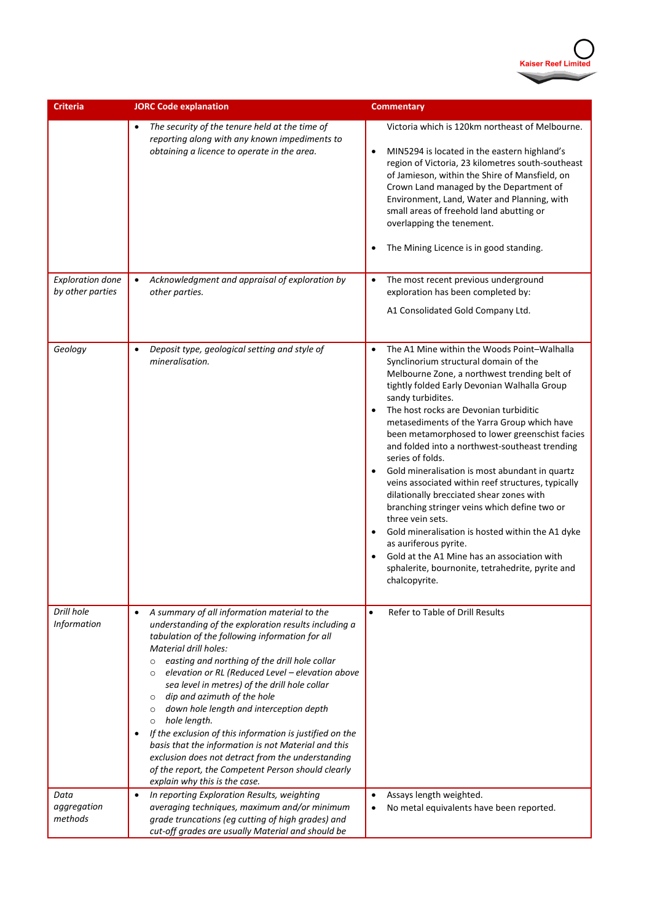

| <b>Criteria</b>                             | <b>JORC Code explanation</b>                                                                                                                                                                                                                                                                                                                                                                                                                                                                                                                                                                                                                                                                                                                                        | <b>Commentary</b>                                                                                                                                                                                                                                                                                                                                                                                                                                                                                                                                                                                                                                                                                                                                                                                                                                   |  |  |  |
|---------------------------------------------|---------------------------------------------------------------------------------------------------------------------------------------------------------------------------------------------------------------------------------------------------------------------------------------------------------------------------------------------------------------------------------------------------------------------------------------------------------------------------------------------------------------------------------------------------------------------------------------------------------------------------------------------------------------------------------------------------------------------------------------------------------------------|-----------------------------------------------------------------------------------------------------------------------------------------------------------------------------------------------------------------------------------------------------------------------------------------------------------------------------------------------------------------------------------------------------------------------------------------------------------------------------------------------------------------------------------------------------------------------------------------------------------------------------------------------------------------------------------------------------------------------------------------------------------------------------------------------------------------------------------------------------|--|--|--|
|                                             | The security of the tenure held at the time of<br>reporting along with any known impediments to<br>obtaining a licence to operate in the area.                                                                                                                                                                                                                                                                                                                                                                                                                                                                                                                                                                                                                      | Victoria which is 120km northeast of Melbourne.<br>MIN5294 is located in the eastern highland's<br>$\bullet$<br>region of Victoria, 23 kilometres south-southeast<br>of Jamieson, within the Shire of Mansfield, on<br>Crown Land managed by the Department of<br>Environment, Land, Water and Planning, with<br>small areas of freehold land abutting or<br>overlapping the tenement.<br>The Mining Licence is in good standing.                                                                                                                                                                                                                                                                                                                                                                                                                   |  |  |  |
| <b>Exploration done</b><br>by other parties | Acknowledgment and appraisal of exploration by<br>$\bullet$<br>other parties.                                                                                                                                                                                                                                                                                                                                                                                                                                                                                                                                                                                                                                                                                       | The most recent previous underground<br>$\bullet$<br>exploration has been completed by:<br>A1 Consolidated Gold Company Ltd.                                                                                                                                                                                                                                                                                                                                                                                                                                                                                                                                                                                                                                                                                                                        |  |  |  |
| Geology                                     | Deposit type, geological setting and style of<br>$\bullet$<br>mineralisation.                                                                                                                                                                                                                                                                                                                                                                                                                                                                                                                                                                                                                                                                                       | The A1 Mine within the Woods Point-Walhalla<br>Synclinorium structural domain of the<br>Melbourne Zone, a northwest trending belt of<br>tightly folded Early Devonian Walhalla Group<br>sandy turbidites.<br>The host rocks are Devonian turbiditic<br>metasediments of the Yarra Group which have<br>been metamorphosed to lower greenschist facies<br>and folded into a northwest-southeast trending<br>series of folds.<br>Gold mineralisation is most abundant in quartz<br>veins associated within reef structures, typically<br>dilationally brecciated shear zones with<br>branching stringer veins which define two or<br>three vein sets.<br>Gold mineralisation is hosted within the A1 dyke<br>as auriferous pyrite.<br>Gold at the A1 Mine has an association with<br>sphalerite, bournonite, tetrahedrite, pyrite and<br>chalcopyrite. |  |  |  |
| Drill hole<br><b>Information</b>            | A summary of all information material to the<br>$\bullet$<br>understanding of the exploration results including a<br>tabulation of the following information for all<br>Material drill holes:<br>easting and northing of the drill hole collar<br>$\circ$<br>elevation or RL (Reduced Level - elevation above<br>$\circ$<br>sea level in metres) of the drill hole collar<br>dip and azimuth of the hole<br>$\circ$<br>down hole length and interception depth<br>$\circ$<br>hole length.<br>$\circ$<br>If the exclusion of this information is justified on the<br>basis that the information is not Material and this<br>exclusion does not detract from the understanding<br>of the report, the Competent Person should clearly<br>explain why this is the case. | Refer to Table of Drill Results<br>$\bullet$                                                                                                                                                                                                                                                                                                                                                                                                                                                                                                                                                                                                                                                                                                                                                                                                        |  |  |  |
| Data<br>aggregation<br>methods              | In reporting Exploration Results, weighting<br>$\bullet$<br>averaging techniques, maximum and/or minimum<br>grade truncations (eg cutting of high grades) and<br>cut-off grades are usually Material and should be                                                                                                                                                                                                                                                                                                                                                                                                                                                                                                                                                  | Assays length weighted.<br>No metal equivalents have been reported.                                                                                                                                                                                                                                                                                                                                                                                                                                                                                                                                                                                                                                                                                                                                                                                 |  |  |  |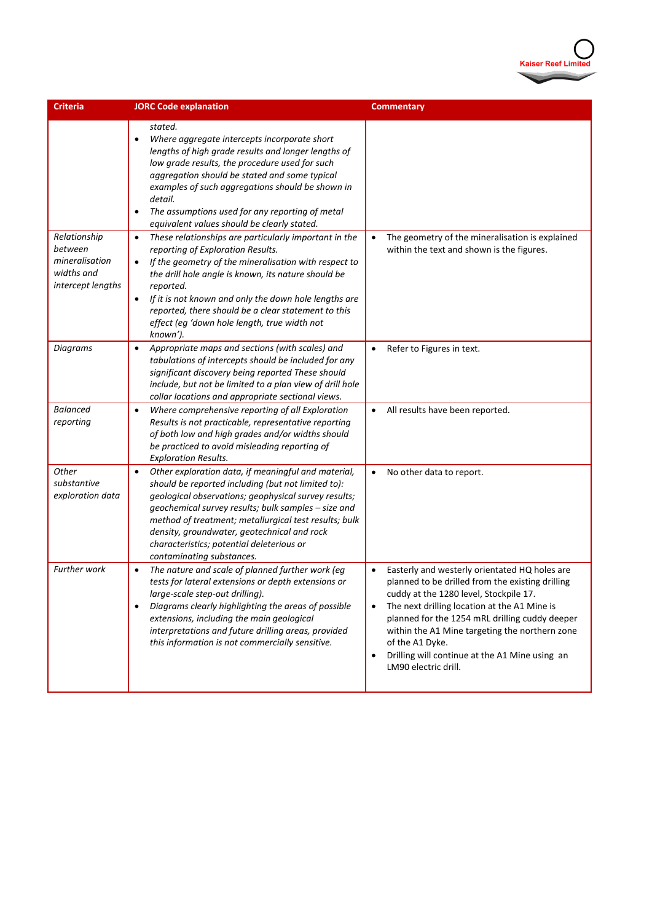

| <b>Criteria</b>                                                              | <b>JORC Code explanation</b>                                                                                                                                                                                                                                                                                                                                                                                                               | <b>Commentary</b>                                                                                                                                                                                                                                                                                                                                                                                                                   |
|------------------------------------------------------------------------------|--------------------------------------------------------------------------------------------------------------------------------------------------------------------------------------------------------------------------------------------------------------------------------------------------------------------------------------------------------------------------------------------------------------------------------------------|-------------------------------------------------------------------------------------------------------------------------------------------------------------------------------------------------------------------------------------------------------------------------------------------------------------------------------------------------------------------------------------------------------------------------------------|
|                                                                              | stated.<br>Where aggregate intercepts incorporate short<br>$\bullet$<br>lengths of high grade results and longer lengths of<br>low grade results, the procedure used for such<br>aggregation should be stated and some typical<br>examples of such aggregations should be shown in<br>detail.<br>The assumptions used for any reporting of metal<br>$\bullet$<br>equivalent values should be clearly stated.                               |                                                                                                                                                                                                                                                                                                                                                                                                                                     |
| Relationship<br>between<br>mineralisation<br>widths and<br>intercept lengths | These relationships are particularly important in the<br>$\bullet$<br>reporting of Exploration Results.<br>If the geometry of the mineralisation with respect to<br>$\bullet$<br>the drill hole angle is known, its nature should be<br>reported.<br>If it is not known and only the down hole lengths are<br>$\bullet$<br>reported, there should be a clear statement to this<br>effect (eg 'down hole length, true width not<br>known'). | The geometry of the mineralisation is explained<br>within the text and shown is the figures.                                                                                                                                                                                                                                                                                                                                        |
| <b>Diagrams</b>                                                              | Appropriate maps and sections (with scales) and<br>$\bullet$<br>tabulations of intercepts should be included for any<br>significant discovery being reported These should<br>include, but not be limited to a plan view of drill hole<br>collar locations and appropriate sectional views.                                                                                                                                                 | Refer to Figures in text.<br>$\bullet$                                                                                                                                                                                                                                                                                                                                                                                              |
| <b>Balanced</b><br>reporting                                                 | Where comprehensive reporting of all Exploration<br>$\bullet$<br>Results is not practicable, representative reporting<br>of both low and high grades and/or widths should<br>be practiced to avoid misleading reporting of<br><b>Exploration Results.</b>                                                                                                                                                                                  | All results have been reported.<br>$\bullet$                                                                                                                                                                                                                                                                                                                                                                                        |
| Other<br>substantive<br>exploration data                                     | Other exploration data, if meaningful and material,<br>$\bullet$<br>should be reported including (but not limited to):<br>geological observations; geophysical survey results;<br>geochemical survey results; bulk samples - size and<br>method of treatment; metallurgical test results; bulk<br>density, groundwater, geotechnical and rock<br>characteristics; potential deleterious or<br>contaminating substances.                    | No other data to report.<br>$\bullet$                                                                                                                                                                                                                                                                                                                                                                                               |
| Further work                                                                 | The nature and scale of planned further work (eg<br>$\bullet$<br>tests for lateral extensions or depth extensions or<br>large-scale step-out drilling).<br>Diagrams clearly highlighting the areas of possible<br>$\bullet$<br>extensions, including the main geological<br>interpretations and future drilling areas, provided<br>this information is not commercially sensitive.                                                         | Easterly and westerly orientated HQ holes are<br>$\bullet$<br>planned to be drilled from the existing drilling<br>cuddy at the 1280 level, Stockpile 17.<br>The next drilling location at the A1 Mine is<br>$\bullet$<br>planned for the 1254 mRL drilling cuddy deeper<br>within the A1 Mine targeting the northern zone<br>of the A1 Dyke.<br>Drilling will continue at the A1 Mine using an<br>$\bullet$<br>LM90 electric drill. |